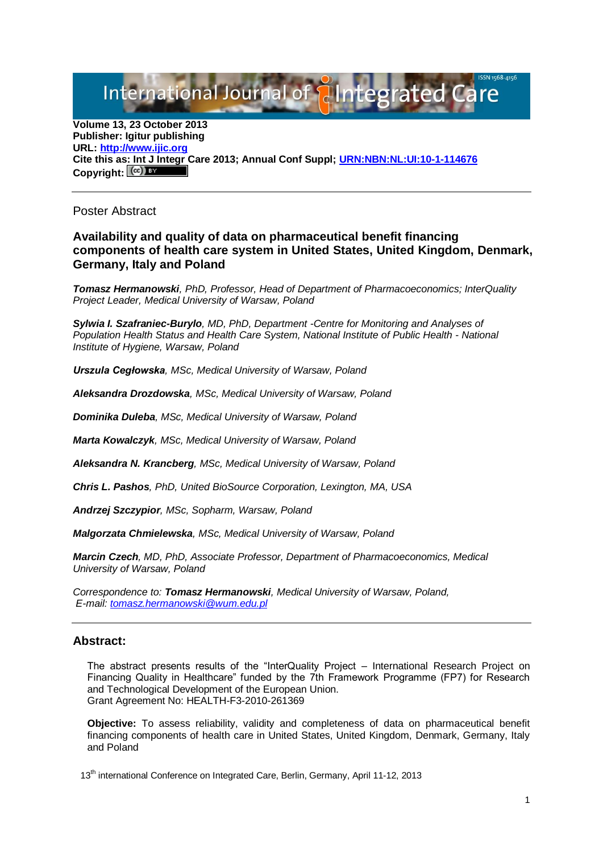# International Journal of **Plntegrated**

**Volume 13, 23 October 2013 Publisher: Igitur publishing URL[: http://www.ijic.org](http://www.ijic.org/) Cite this as: Int J Integr Care 2013; Annual Conf Suppl; [URN:NBN:NL:UI:10-1-114676](http://persistent-identifier.nl/?identifier=URN:NBN:NL:UI:10-1-114676)** Copyright:  $\left[\frac{c}{c}\right]$ 

## Poster Abstract

## **Availability and quality of data on pharmaceutical benefit financing components of health care system in United States, United Kingdom, Denmark, Germany, Italy and Poland**

*Tomasz Hermanowski, PhD, Professor, Head of Department of Pharmacoeconomics; InterQuality Project Leader, Medical University of Warsaw, Poland*

*Sylwia I. Szafraniec-Burylo, MD, PhD, Department -Centre for Monitoring and Analyses of Population Health Status and Health Care System, National Institute of Public Health - National Institute of Hygiene, Warsaw, Poland*

*Urszula Cegłowska, MSc, Medical University of Warsaw, Poland*

*Aleksandra Drozdowska, MSc, Medical University of Warsaw, Poland*

*Dominika Duleba, MSc, Medical University of Warsaw, Poland*

*Marta Kowalczyk, MSc, Medical University of Warsaw, Poland*

*Aleksandra N. Krancberg, MSc, Medical University of Warsaw, Poland*

*Chris L. Pashos, PhD, United BioSource Corporation, Lexington, MA, USA*

*Andrzej Szczypior, MSc, Sopharm, Warsaw, Poland*

*Malgorzata Chmielewska, MSc, Medical University of Warsaw, Poland*

*Marcin Czech, MD, PhD, Associate Professor, Department of Pharmacoeconomics, Medical University of Warsaw, Poland*

*Correspondence to: Tomasz Hermanowski, Medical University of Warsaw, Poland, E-mail[: tomasz.hermanowski@wum.edu.pl](mailto:tomasz.hermanowski@wum.edu.pl)*

## **Abstract:**

The abstract presents results of the "InterQuality Project – International Research Project on Financing Quality in Healthcare" funded by the 7th Framework Programme (FP7) for Research and Technological Development of the European Union. Grant Agreement No: HEALTH-F3-2010-261369

**Objective:** To assess reliability, validity and completeness of data on pharmaceutical benefit financing components of health care in United States, United Kingdom, Denmark, Germany, Italy and Poland

13<sup>th</sup> international Conference on Integrated Care, Berlin, Germany, April 11-12, 2013